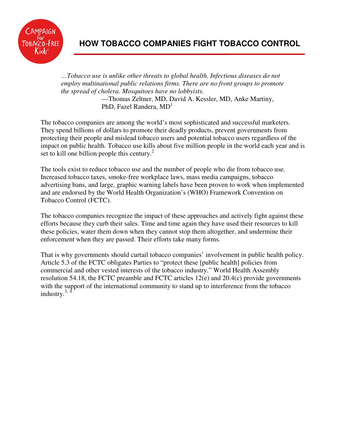

# **HOW TOBACCO COMPANIES FIGHT TOBACCO CONTROL**

*…Tobacco use is unlike other threats to global health. Infectious diseases do not employ multinational public relations firms. There are no front groups to promote the spread of cholera. Mosquitoes have no lobbyists.*  —Thomas Zeltner, MD, David A. Kessler, MD, Anke Martiny, PhD, Fazel Randera,  $MD<sup>1</sup>$ 

The tobacco companies are among the world's most sophisticated and successful marketers. They spend billions of dollars to promote their deadly products, prevent governments from protecting their people and mislead tobacco users and potential tobacco users regardless of the impact on public health. Tobacco use kills about five million people in the world each year and is set to kill one billion people this century.<sup>2</sup>

The tools exist to reduce tobacco use and the number of people who die from tobacco use. Increased tobacco taxes, smoke-free workplace laws, mass media campaigns, tobacco advertising bans, and large, graphic warning labels have been proven to work when implemented and are endorsed by the World Health Organization's (WHO) Framework Convention on Tobacco Control (FCTC).

The tobacco companies recognize the impact of these approaches and actively fight against these efforts because they curb their sales. Time and time again they have used their resources to kill these policies, water them down when they cannot stop them altogether, and undermine their enforcement when they are passed. Their efforts take many forms.

That is why governments should curtail tobacco companies' involvement in public health policy. Article 5.3 of the FCTC obligates Parties to "protect these [public health] policies from commercial and other vested interests of the tobacco industry." World Health Assembly resolution 54.18, the FCTC preamble and FCTC articles 12(e) and 20.4(c) provide governments with the support of the international community to stand up to interference from the tobacco industry. $3, 4$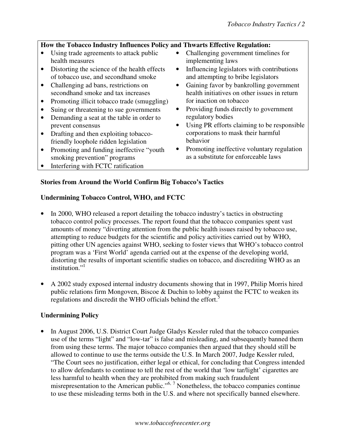## **How the Tobacco Industry Influences Policy and Thwarts Effective Regulation:**

- Using trade agreements to attack public health measures
- Distorting the science of the health effects of tobacco use, and secondhand smoke
- Challenging ad bans, restrictions on secondhand smoke and tax increases
- Promoting illicit tobacco trade (smuggling)
- Suing or threatening to sue governments
- Demanding a seat at the table in order to prevent consensus
- Drafting and then exploiting tobaccofriendly loophole ridden legislation
- Promoting and funding ineffective "youth" smoking prevention" programs
- Interfering with FCTC ratification
- Challenging government timelines for implementing laws
- Influencing legislators with contributions and attempting to bribe legislators
- Gaining favor by bankrolling government health initiatives on other issues in return for inaction on tobacco
- Providing funds directly to government regulatory bodies
- Using PR efforts claiming to be responsible corporations to mask their harmful behavior
- Promoting ineffective voluntary regulation as a substitute for enforceable laws

## **Stories from Around the World Confirm Big Tobacco's Tactics**

#### **Undermining Tobacco Control, WHO, and FCTC**

- In 2000, WHO released a report detailing the tobacco industry's tactics in obstructing tobacco control policy processes. The report found that the tobacco companies spent vast amounts of money "diverting attention from the public health issues raised by tobacco use, attempting to reduce budgets for the scientific and policy activities carried out by WHO, pitting other UN agencies against WHO, seeking to foster views that WHO's tobacco control program was a 'First World' agenda carried out at the expense of the developing world, distorting the results of important scientific studies on tobacco, and discrediting WHO as an institution." $\cdot$ <sup>1</sup>
- A 2002 study exposed internal industry documents showing that in 1997, Philip Morris hired public relations firm Mongoven, Biscoe & Duchin to lobby against the FCTC to weaken its regulations and discredit the WHO officials behind the effort.<sup>5</sup>

#### **Undermining Policy**

• In August 2006, U.S. District Court Judge Gladys Kessler ruled that the tobacco companies use of the terms "light" and "low-tar" is false and misleading, and subsequently banned them from using these terms. The major tobacco companies then argued that they should still be allowed to continue to use the terms outside the U.S. In March 2007, Judge Kessler ruled, "The Court sees no justification, either legal or ethical, for concluding that Congress intended to allow defendants to continue to tell the rest of the world that 'low tar/light' cigarettes are less harmful to health when they are prohibited from making such fraudulent misrepresentation to the American public."<sup>6, 7</sup> Nonetheless, the tobacco companies continue to use these misleading terms both in the U.S. and where not specifically banned elsewhere.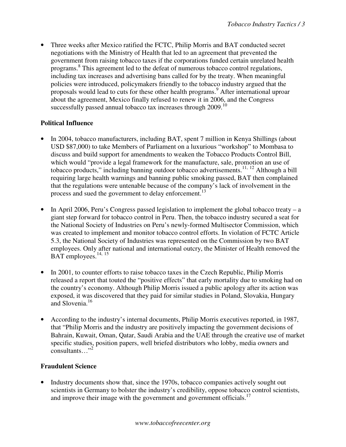• Three weeks after Mexico ratified the FCTC, Philip Morris and BAT conducted secret negotiations with the Ministry of Health that led to an agreement that prevented the government from raising tobacco taxes if the corporations funded certain unrelated health programs.<sup>8</sup> This agreement led to the defeat of numerous tobacco control regulations, including tax increases and advertising bans called for by the treaty. When meaningful policies were introduced, policymakers friendly to the tobacco industry argued that the proposals would lead to cuts for these other health programs.<sup>9</sup> After international uproar about the agreement, Mexico finally refused to renew it in 2006, and the Congress successfully passed annual tobacco tax increases through  $2009$ .<sup>10</sup>

#### **Political Influence**

- In 2004, tobacco manufacturers, including BAT, spent 7 million in Kenya Shillings (about USD \$87,000) to take Members of Parliament on a luxurious "workshop" to Mombasa to discuss and build support for amendments to weaken the Tobacco Products Control Bill, which would "provide a legal framework for the manufacture, sale, promotion an use of tobacco products," including banning outdoor tobacco advertisements.<sup>11, 12</sup> Although a bill requiring large health warnings and banning public smoking passed, BAT then complained that the regulations were untenable because of the company's lack of involvement in the process and sued the government to delay enforcement.<sup>13</sup>
- In April 2006, Peru's Congress passed legislation to implement the global tobacco treaty a giant step forward for tobacco control in Peru. Then, the tobacco industry secured a seat for the National Society of Industries on Peru's newly-formed Multisector Commission, which was created to implement and monitor tobacco control efforts. In violation of FCTC Article 5.3, the National Society of Industries was represented on the Commission by two BAT employees. Only after national and international outcry, the Minister of Health removed the BAT employees.<sup>14, 15</sup>
- In 2001, to counter efforts to raise tobacco taxes in the Czech Republic, Philip Morris released a report that touted the "positive effects" that early mortality due to smoking had on the country's economy. Although Philip Morris issued a public apology after its action was exposed, it was discovered that they paid for similar studies in Poland, Slovakia, Hungary and Slovenia.<sup>16</sup>
- According to the industry's internal documents, Philip Morris executives reported, in 1987, that "Philip Morris and the industry are positively impacting the government decisions of Bahrain, Kuwait, Oman, Qatar, Saudi Arabia and the UAE through the creative use of market specific studies, position papers, well briefed distributors who lobby, media owners and  $\frac{1}{2}$ consultants…"<sup>2</sup>

#### **Fraudulent Science**

• Industry documents show that, since the 1970s, tobacco companies actively sought out scientists in Germany to bolster the industry's credibility, oppose tobacco control scientists, and improve their image with the government and government officials.<sup>17</sup>